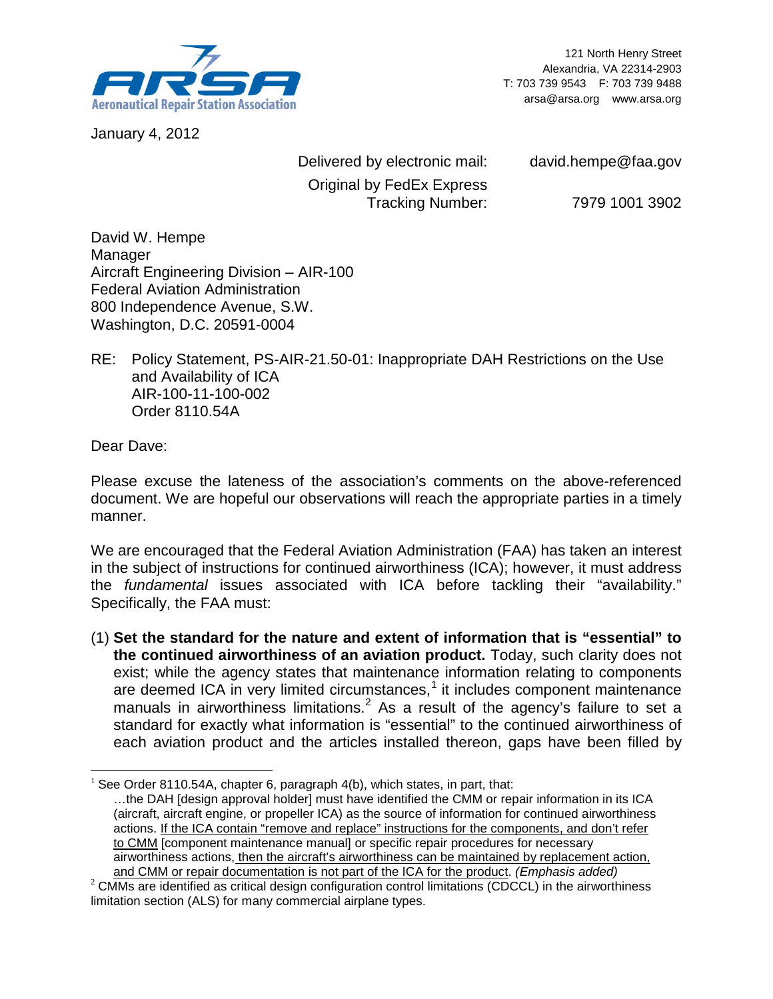

121 North Henry Street Alexandria, VA 22314-2903 T: 703 739 9543 F: 703 739 9488 arsa@arsa.org www.arsa.org

January 4, 2012

Delivered by electronic mail: david.hempe@faa.gov Original by FedEx Express Tracking Number: 7979 1001 3902

David W. Hempe Manager Aircraft Engineering Division – AIR-100 Federal Aviation Administration 800 Independence Avenue, S.W. Washington, D.C. 20591-0004

RE: Policy Statement, PS-AIR-21.50-01: Inappropriate DAH Restrictions on the Use and Availability of ICA AIR-100-11-100-002 Order 8110.54A

Dear Dave:

Please excuse the lateness of the association's comments on the above-referenced document. We are hopeful our observations will reach the appropriate parties in a timely manner.

We are encouraged that the Federal Aviation Administration (FAA) has taken an interest in the subject of instructions for continued airworthiness (ICA); however, it must address the *fundamental* issues associated with ICA before tackling their "availability." Specifically, the FAA must:

(1) **Set the standard for the nature and extent of information that is "essential" to the continued airworthiness of an aviation [pr](#page-0-0)oduct.** Today, such clarity does not exist; while the agency states that m[a](#page-0-1)intenance information relating to components are deemed ICA in very limited circumstances, <sup>1</sup> it includes component maintenance manuals in airworthiness limitations.<sup>2</sup> As a result of the agency's failure to set a standard for exactly what information is "essential" to the continued airworthiness of each aviation product and the articles installed thereon, gaps have been filled by

<span id="page-0-0"></span> $\overline{a}$ See Order 8110.54A, chapter 6, paragraph 4(b), which states, in part, that:

<sup>…</sup>the DAH [design approval holder] must have identified the CMM or repair information in its ICA (aircraft, aircraft engine, or propeller ICA) as the source of information for continued airworthiness actions. If the ICA contain "remove and replace" instructions for the components, and don't refer to CMM [component maintenance manual] or specific repair procedures for necessary airworthiness actions, then the aircraft's airworthiness can be maintained by replacement action, and CMM or repair documentation is not part of the ICA for the product. (Emphasis added)

<span id="page-0-1"></span><sup>&</sup>lt;sup>2</sup> CMMs are identified as critical design configuration control limitations (CDCCL) in the airworthiness limitation section (ALS) for many commercial airplane types.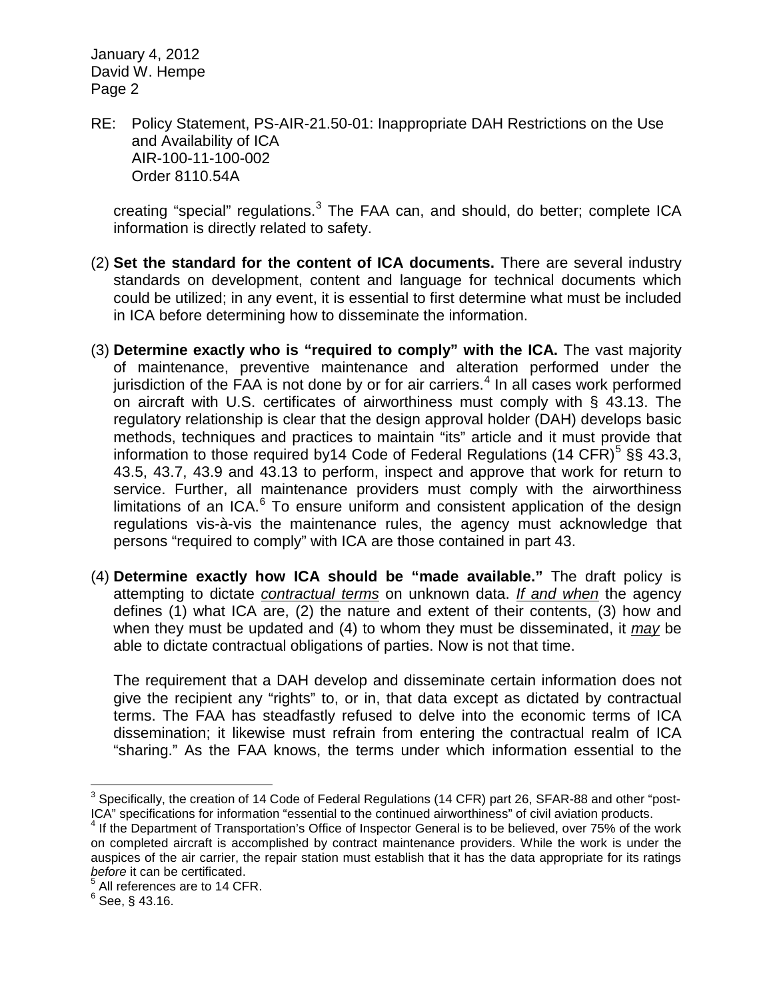RE: Policy Statement, PS-AIR-21.50-01: Inappropriate DAH Restrictions on the Use and Availability of ICA AIR-100-11-100-002 Order 8110.54A

creating "special" regulations.<sup>[3](#page-1-0)</sup> The FAA can, and should, do better; complete ICA information is directly related to safety.

- (2) **Set the standard for the content of ICA documents.** There are several industry standards on development, content and language for technical documents which could be utilized; in any event, it is essential to first determine what must be included in ICA before determining how to disseminate the information.
- (3) **Determine exactly who is "required to comply" with the ICA.** The vast majority of maintenance, preventive maintenance and alteration performed under the jurisdiction of the FAA is not done by or for air carriers. $<sup>4</sup>$  $<sup>4</sup>$  $<sup>4</sup>$  In all cases work performed</sup> on aircraft with U.S. certificates of airworthiness must comply with § 43.13. The regulatory relationship is clear that the design approval holder (DAH) develops basic methods, techniques and practices to maintain "its" article and it must provide that information to those required by 14 Code of Federal Regulations (14 CFR)<sup>[5](#page-1-2)</sup> §§ 43.3, 43.5, 43.7, 43.9 and 43.13 to perform, inspect and approve that work for return to service. Further, all maintenance providers must comply with the airworthiness limitations of an ICA. $6$  To ensure uniform and consistent application of the design regulations vis-à-vis the maintenance rules, the agency must acknowledge that persons "required to comply" with ICA are those contained in part 43.
- (4) **Determine exactly how ICA should be "made available."** The draft policy is attempting to dictate *contractual terms* on unknown data. *If and when* the agency defines (1) what ICA are, (2) the nature and extent of their contents, (3) how and when they must be updated and (4) to whom they must be disseminated, it *may* be able to dictate contractual obligations of parties. Now is not that time.

The requirement that a DAH develop and disseminate certain information does not give the recipient any "rights" to, or in, that data except as dictated by contractual terms. The FAA has steadfastly refused to delve into the economic terms of ICA dissemination; it likewise must refrain from entering the contractual realm of ICA "sharing." As the FAA knows, the terms under which information essential to the

<span id="page-1-0"></span> $3$  Specifically, the creation of 14 Code of Federal Regulations (14 CFR) part 26, SFAR-88 and other "post-ICA" specifications for information "essential to the continued airworthiness" of civil aviation products.

<span id="page-1-1"></span> $4$  If the Department of Transportation's Office of Inspector General is to be believed, over 75% of the work on completed aircraft is accomplished by contract maintenance providers. While the work is under the auspices of the air carrier, the repair station must establish that it has the data appropriate for its ratings *before* it can be certificated.

 $<sup>5</sup>$  All references are to 14 CFR.</sup>

<span id="page-1-3"></span><span id="page-1-2"></span> $6$  See, § 43.16.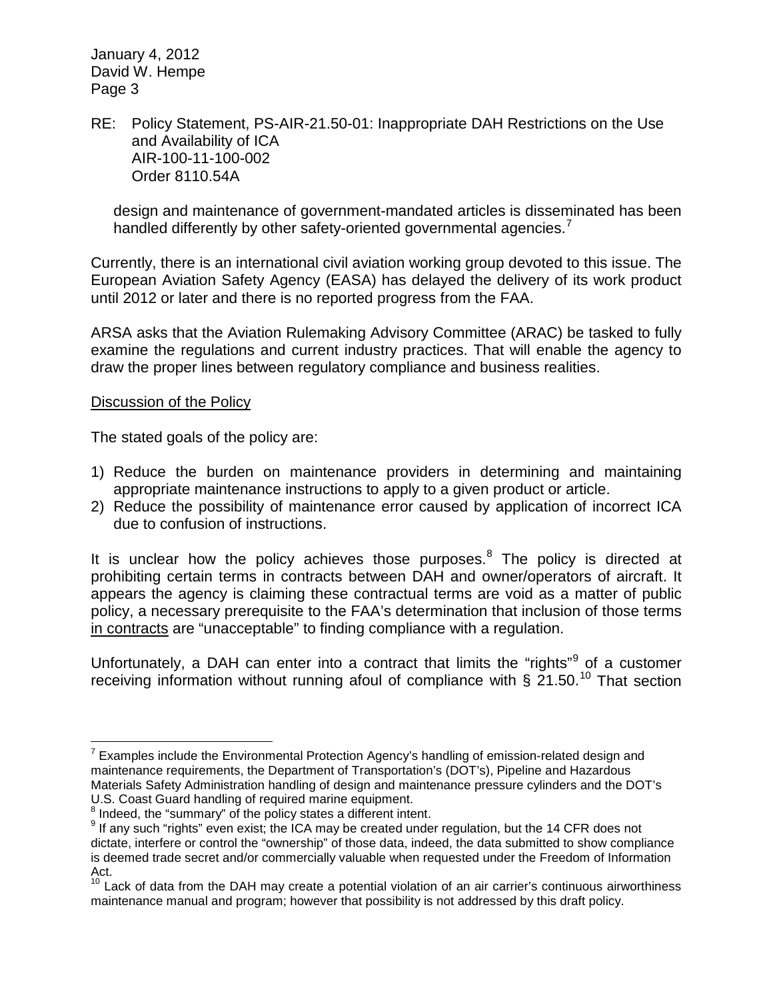### RE: Policy Statement, PS-AIR-21.50-01: Inappropriate DAH Restrictions on the Use and Availability of ICA AIR-100-11-100-002 Order 8110.54A

design and maintenance of government-mandated articles is disseminated has been handled differently by other safety-oriented governmental agencies.<sup>[7](#page-2-0)</sup>

Currently, there is an international civil aviation working group devoted to this issue. The European Aviation Safety Agency (EASA) has delayed the delivery of its work product until 2012 or later and there is no reported progress from the FAA.

ARSA asks that the Aviation Rulemaking Advisory Committee (ARAC) be tasked to fully examine the regulations and current industry practices. That will enable the agency to draw the proper lines between regulatory compliance and business realities.

#### Discussion of the Policy

The stated goals of the policy are:

- 1) Reduce the burden on maintenance providers in determining and maintaining appropriate maintenance instructions to apply to a given product or article.
- 2) Reduce the possibility of maintenance error caused by application of incorrect ICA due to confusion of instructions.

It is unclear how the policy achieves those purposes.<sup>[8](#page-2-1)</sup> The policy is directed at prohibiting certain terms in contracts between DAH and owner/operators of aircraft. It appears the agency is claiming these contractual terms are void as a matter of public policy, a necessary prerequisite to the FAA's determination that inclusion of those terms in contracts are "unacceptable" to finding compliance with a regulation.

Unfortunately, a DAH can enter into a contract that limits the "rights"<sup>[9](#page-2-2)</sup> of a customer receiving information without running afoul of compliance with  $\frac{2}{3}$  21.50.<sup>[10](#page-2-3)</sup> That section

<span id="page-2-0"></span> $7$  Examples include the Environmental Protection Agency's handling of emission-related design and maintenance requirements, the Department of Transportation's (DOT's), Pipeline and Hazardous Materials Safety Administration handling of design and maintenance pressure cylinders and the DOT's U.S. Coast Guard handling of required marine equipment.<br><sup>8</sup> Indeed, the "summary" of the policy states a different intent.

<span id="page-2-1"></span>

<span id="page-2-2"></span> $9$  If any such "rights" even exist; the ICA may be created under regulation, but the 14 CFR does not dictate, interfere or control the "ownership" of those data, indeed, the data submitted to show compliance is deemed trade secret and/or commercially valuable when requested under the Freedom of Information Act.

<span id="page-2-3"></span><sup>&</sup>lt;sup>10</sup> Lack of data from the DAH may create a potential violation of an air carrier's continuous airworthiness maintenance manual and program; however that possibility is not addressed by this draft policy.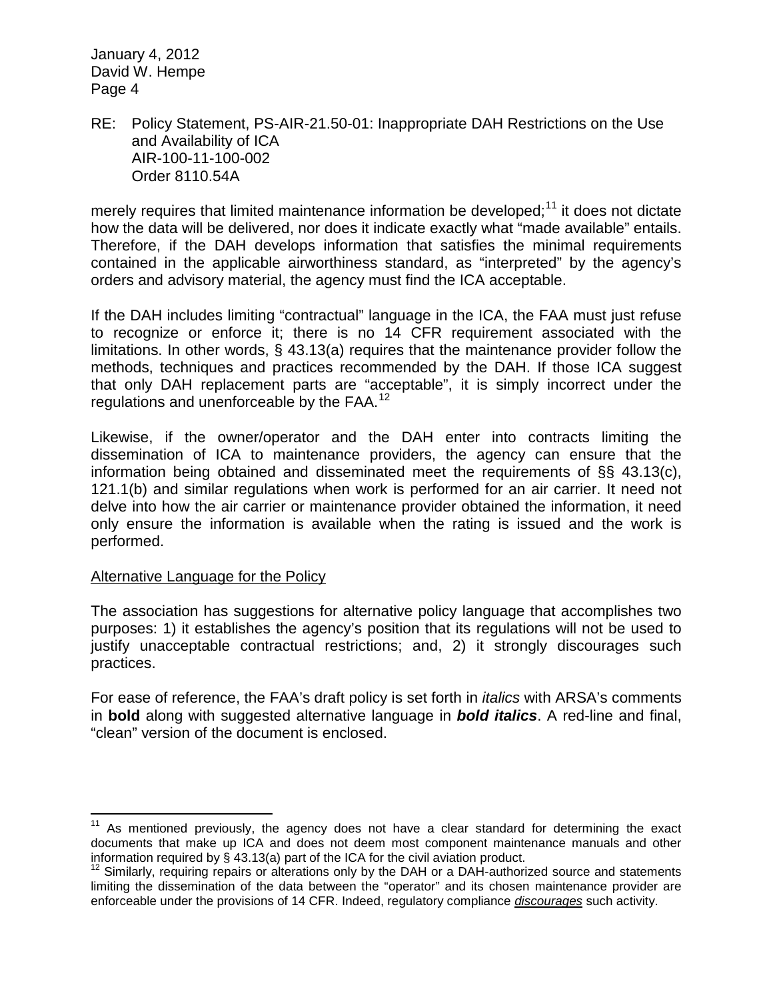### RE: Policy Statement, PS-AIR-21.50-01: Inappropriate DAH Restrictions on the Use and Availability of ICA AIR-100-11-100-002 Order 8110.54A

merely requires that limited maintenance information be developed;<sup>[11](#page-3-0)</sup> it does not dictate how the data will be delivered, nor does it indicate exactly what "made available" entails. Therefore, if the DAH develops information that satisfies the minimal requirements contained in the applicable airworthiness standard, as "interpreted" by the agency's orders and advisory material, the agency must find the ICA acceptable.

If the DAH includes limiting "contractual" language in the ICA, the FAA must just refuse to recognize or enforce it; there is no 14 CFR requirement associated with the limitations. In other words, § 43.13(a) requires that the maintenance provider follow the methods, techniques and practices recommended by the DAH. If those ICA suggest that only DAH replacement parts are "acceptable", it is simply incorrect under the regulations and unenforceable by the FAA.<sup>[12](#page-3-1)</sup>

Likewise, if the owner/operator and the DAH enter into contracts limiting the dissemination of ICA to maintenance providers, the agency can ensure that the information being obtained and disseminated meet the requirements of §§ 43.13(c), 121.1(b) and similar regulations when work is performed for an air carrier. It need not delve into how the air carrier or maintenance provider obtained the information, it need only ensure the information is available when the rating is issued and the work is performed.

### Alternative Language for the Policy

The association has suggestions for alternative policy language that accomplishes two purposes: 1) it establishes the agency's position that its regulations will not be used to justify unacceptable contractual restrictions; and, 2) it strongly discourages such practices.

For ease of reference, the FAA's draft policy is set forth in *italics* with ARSA's comments in **bold** along with suggested alternative language in *bold italics*. A red-line and final, "clean" version of the document is enclosed.

<span id="page-3-0"></span> $11$  As mentioned previously, the agency does not have a clear standard for determining the exact documents that make up ICA and does not deem most component maintenance manuals and other information required by § 43.13(a) part of the ICA for the civil aviation product.<br><sup>12</sup> Similarly, requiring repairs or alterations only by the DAH or a DAH-authorized source and statements

<span id="page-3-1"></span>limiting the dissemination of the data between the "operator" and its chosen maintenance provider are enforceable under the provisions of 14 CFR. Indeed, regulatory compliance *discourages* such activity.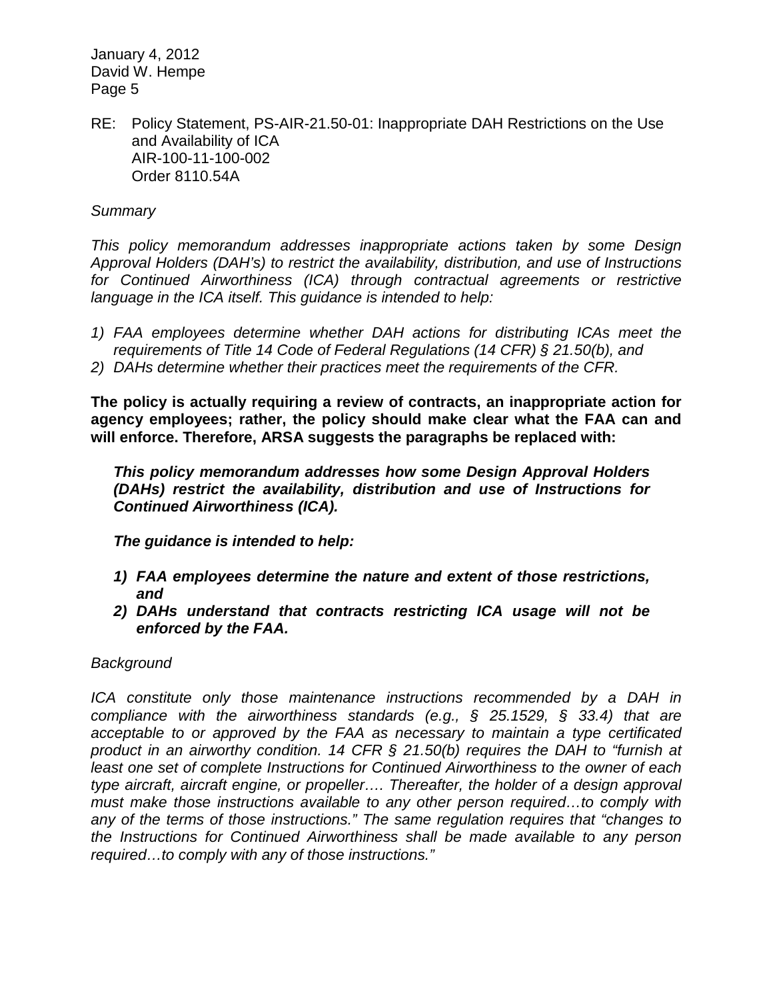RE: Policy Statement, PS-AIR-21.50-01: Inappropriate DAH Restrictions on the Use and Availability of ICA AIR-100-11-100-002 Order 8110.54A

### *Summary*

*This policy memorandum addresses inappropriate actions taken by some Design Approval Holders (DAH's) to restrict the availability, distribution, and use of Instructions for Continued Airworthiness (ICA) through contractual agreements or restrictive language in the ICA itself. This guidance is intended to help:*

- *1) FAA employees determine whether DAH actions for distributing ICAs meet the requirements of Title 14 Code of Federal Regulations (14 CFR) § 21.50(b), and*
- *2) DAHs determine whether their practices meet the requirements of the CFR.*

**The policy is actually requiring a review of contracts, an inappropriate action for agency employees; rather, the policy should make clear what the FAA can and will enforce. Therefore, ARSA suggests the paragraphs be replaced with:**

*This policy memorandum addresses how some Design Approval Holders (DAHs) restrict the availability, distribution and use of Instructions for Continued Airworthiness (ICA).*

*The guidance is intended to help:*

- *1) FAA employees determine the nature and extent of those restrictions, and*
- *2) DAHs understand that contracts restricting ICA usage will not be enforced by the FAA.*

#### *Background*

*ICA* constitute only those maintenance instructions recommended by a DAH in *compliance with the airworthiness standards (e.g., § 25.1529, § 33.4) that are acceptable to or approved by the FAA as necessary to maintain a type certificated product in an airworthy condition. 14 CFR § 21.50(b) requires the DAH to "furnish at least one set of complete Instructions for Continued Airworthiness to the owner of each type aircraft, aircraft engine, or propeller…. Thereafter, the holder of a design approval must make those instructions available to any other person required…to comply with any of the terms of those instructions." The same regulation requires that "changes to the Instructions for Continued Airworthiness shall be made available to any person required…to comply with any of those instructions."*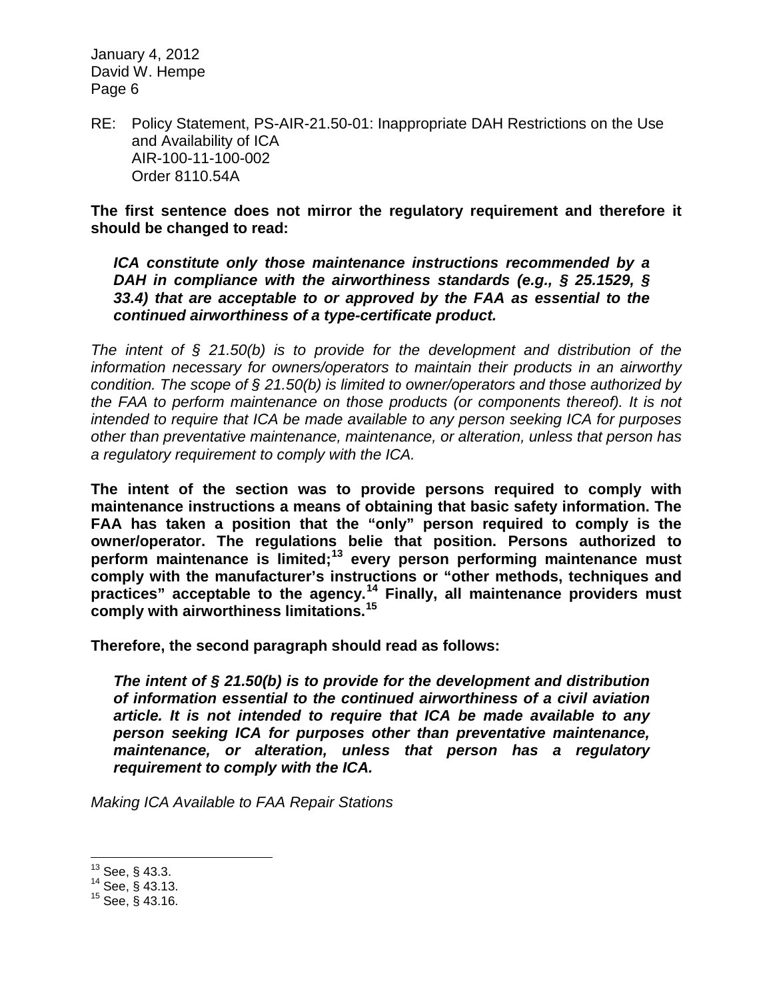RE: Policy Statement, PS-AIR-21.50-01: Inappropriate DAH Restrictions on the Use and Availability of ICA AIR-100-11-100-002 Order 8110.54A

**The first sentence does not mirror the regulatory requirement and therefore it should be changed to read:**

*ICA constitute only those maintenance instructions recommended by a DAH in compliance with the airworthiness standards (e.g., § 25.1529, § 33.4) that are acceptable to or approved by the FAA as essential to the continued airworthiness of a type-certificate product.*

*The intent of § 21.50(b) is to provide for the development and distribution of the information necessary for owners/operators to maintain their products in an airworthy condition. The scope of § 21.50(b) is limited to owner/operators and those authorized by the FAA to perform maintenance on those products (or components thereof). It is not intended to require that ICA be made available to any person seeking ICA for purposes other than preventative maintenance, maintenance, or alteration, unless that person has a regulatory requirement to comply with the ICA.*

**The intent of the section was to provide persons required to comply with maintenance instructions a means of obtaining that basic safety information. The FAA has taken a position that the "only" person required to comply is the owner/operator. The regulations belie that position. Persons authorized to perform maintenance is limited;[13](#page-5-0) every person performing maintenance must comply with the manufacturer's instructions or "other methods, techniques and practices" acceptable to the agency.[14](#page-5-1) Finally, all maintenance providers must comply with airworthiness limitations.[15](#page-5-2)**

**Therefore, the second paragraph should read as follows:**

*The intent of § 21.50(b) is to provide for the development and distribution of information essential to the continued airworthiness of a civil aviation article. It is not intended to require that ICA be made available to any person seeking ICA for purposes other than preventative maintenance, maintenance, or alteration, unless that person has a regulatory requirement to comply with the ICA.*

*Making ICA Available to FAA Repair Stations*

<span id="page-5-0"></span> $\frac{13}{13}$  See, § 43.3.<br> $\frac{14}{15}$  See, § 43.13.

<span id="page-5-1"></span>

<span id="page-5-2"></span> $15$  See, § 43.16.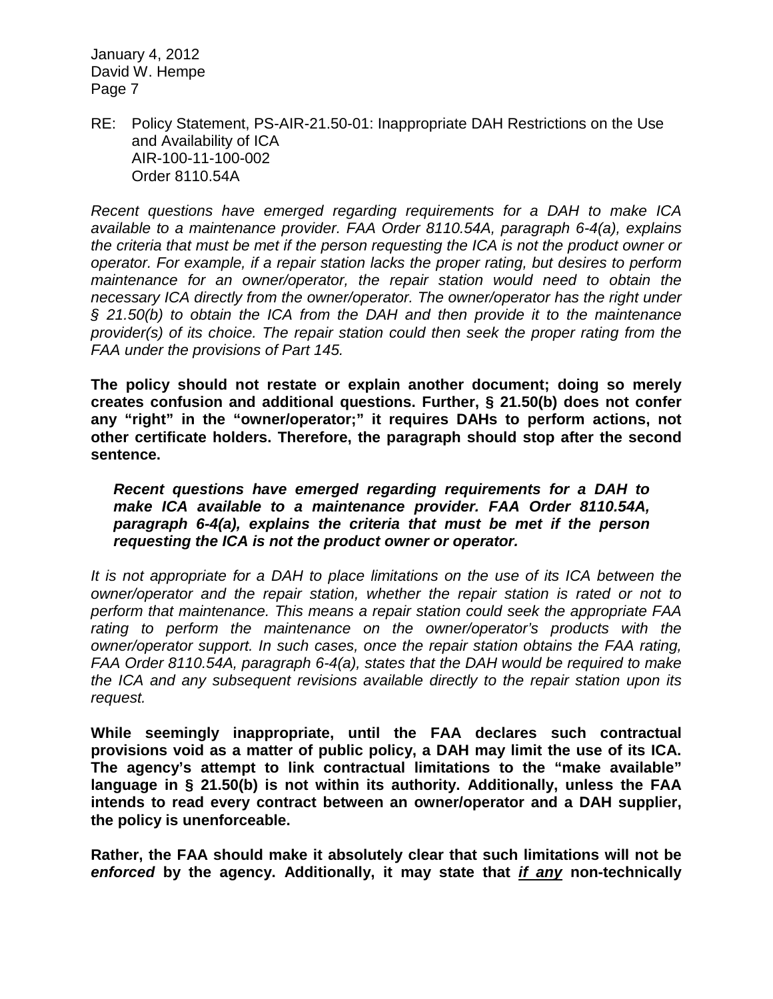RE: Policy Statement, PS-AIR-21.50-01: Inappropriate DAH Restrictions on the Use and Availability of ICA AIR-100-11-100-002 Order 8110.54A

*Recent questions have emerged regarding requirements for a DAH to make ICA available to a maintenance provider. FAA Order 8110.54A, paragraph 6-4(a), explains the criteria that must be met if the person requesting the ICA is not the product owner or operator. For example, if a repair station lacks the proper rating, but desires to perform maintenance for an owner/operator, the repair station would need to obtain the necessary ICA directly from the owner/operator. The owner/operator has the right under § 21.50(b) to obtain the ICA from the DAH and then provide it to the maintenance provider(s) of its choice. The repair station could then seek the proper rating from the FAA under the provisions of Part 145.*

**The policy should not restate or explain another document; doing so merely creates confusion and additional questions. Further, § 21.50(b) does not confer any "right" in the "owner/operator;" it requires DAHs to perform actions, not other certificate holders. Therefore, the paragraph should stop after the second sentence.**

*Recent questions have emerged regarding requirements for a DAH to make ICA available to a maintenance provider. FAA Order 8110.54A, paragraph 6-4(a), explains the criteria that must be met if the person requesting the ICA is not the product owner or operator.*

*It is not appropriate for a DAH to place limitations on the use of its ICA between the owner/operator and the repair station, whether the repair station is rated or not to perform that maintenance. This means a repair station could seek the appropriate FAA rating to perform the maintenance on the owner/operator's products with the owner/operator support. In such cases, once the repair station obtains the FAA rating, FAA Order 8110.54A, paragraph 6-4(a), states that the DAH would be required to make the ICA and any subsequent revisions available directly to the repair station upon its request.*

**While seemingly inappropriate, until the FAA declares such contractual provisions void as a matter of public policy, a DAH may limit the use of its ICA. The agency's attempt to link contractual limitations to the "make available" language in § 21.50(b) is not within its authority. Additionally, unless the FAA intends to read every contract between an owner/operator and a DAH supplier, the policy is unenforceable.**

**Rather, the FAA should make it absolutely clear that such limitations will not be**  *enforced* **by the agency. Additionally, it may state that** *if any* **non-technically**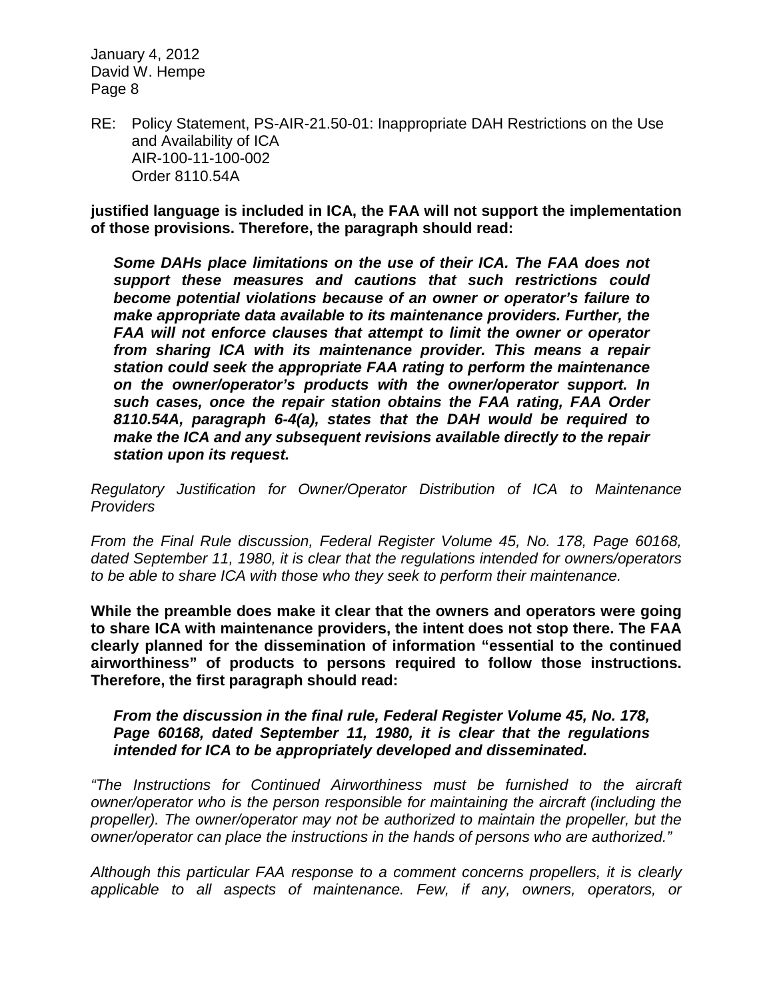RE: Policy Statement, PS-AIR-21.50-01: Inappropriate DAH Restrictions on the Use and Availability of ICA AIR-100-11-100-002 Order 8110.54A

**justified language is included in ICA, the FAA will not support the implementation of those provisions. Therefore, the paragraph should read:**

*Some DAHs place limitations on the use of their ICA. The FAA does not support these measures and cautions that such restrictions could become potential violations because of an owner or operator's failure to make appropriate data available to its maintenance providers. Further, the FAA will not enforce clauses that attempt to limit the owner or operator from sharing ICA with its maintenance provider. This means a repair station could seek the appropriate FAA rating to perform the maintenance on the owner/operator's products with the owner/operator support. In such cases, once the repair station obtains the FAA rating, FAA Order 8110.54A, paragraph 6-4(a), states that the DAH would be required to make the ICA and any subsequent revisions available directly to the repair station upon its request.*

*Regulatory Justification for Owner/Operator Distribution of ICA to Maintenance Providers*

*From the Final Rule discussion, Federal Register Volume 45, No. 178, Page 60168, dated September 11, 1980, it is clear that the regulations intended for owners/operators to be able to share ICA with those who they seek to perform their maintenance.*

**While the preamble does make it clear that the owners and operators were going to share ICA with maintenance providers, the intent does not stop there. The FAA clearly planned for the dissemination of information "essential to the continued airworthiness" of products to persons required to follow those instructions. Therefore, the first paragraph should read:**

#### *From the discussion in the final rule, Federal Register Volume 45, No. 178, Page 60168, dated September 11, 1980, it is clear that the regulations intended for ICA to be appropriately developed and disseminated.*

*"The Instructions for Continued Airworthiness must be furnished to the aircraft owner/operator who is the person responsible for maintaining the aircraft (including the propeller). The owner/operator may not be authorized to maintain the propeller, but the owner/operator can place the instructions in the hands of persons who are authorized."*

*Although this particular FAA response to a comment concerns propellers, it is clearly applicable to all aspects of maintenance. Few, if any, owners, operators, or*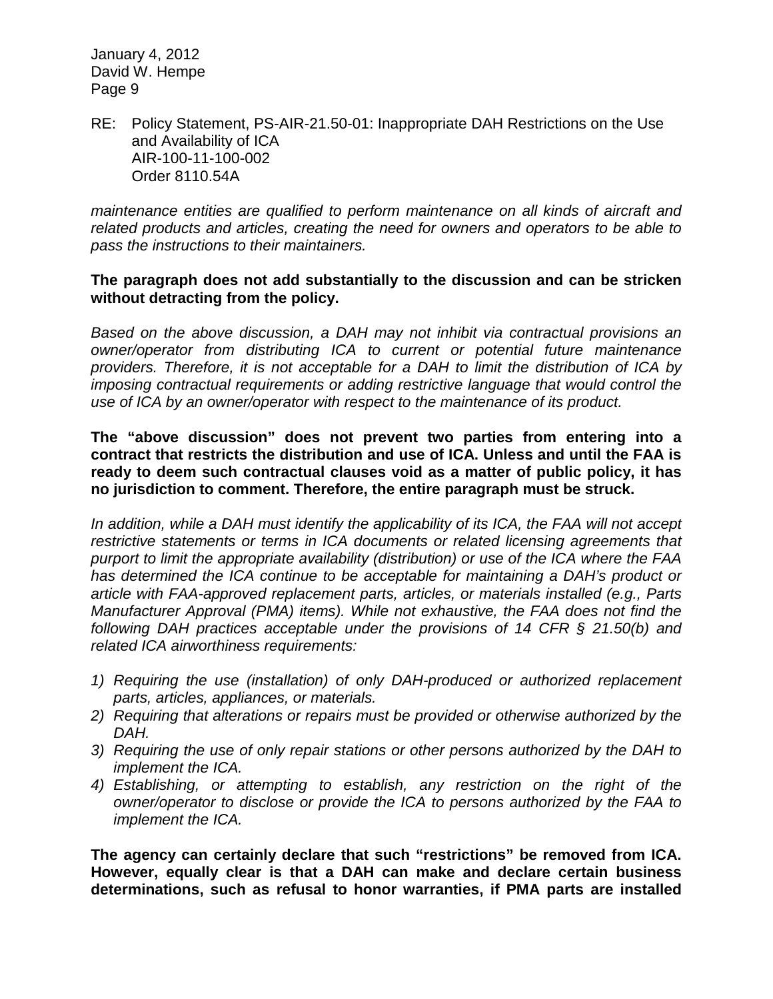RE: Policy Statement, PS-AIR-21.50-01: Inappropriate DAH Restrictions on the Use and Availability of ICA AIR-100-11-100-002 Order 8110.54A

*maintenance entities are qualified to perform maintenance on all kinds of aircraft and related products and articles, creating the need for owners and operators to be able to pass the instructions to their maintainers.*

#### **The paragraph does not add substantially to the discussion and can be stricken without detracting from the policy.**

*Based on the above discussion, a DAH may not inhibit via contractual provisions an owner/operator from distributing ICA to current or potential future maintenance providers. Therefore, it is not acceptable for a DAH to limit the distribution of ICA by imposing contractual requirements or adding restrictive language that would control the use of ICA by an owner/operator with respect to the maintenance of its product.*

**The "above discussion" does not prevent two parties from entering into a contract that restricts the distribution and use of ICA. Unless and until the FAA is ready to deem such contractual clauses void as a matter of public policy, it has no jurisdiction to comment. Therefore, the entire paragraph must be struck.**

*In addition, while a DAH must identify the applicability of its ICA, the FAA will not accept restrictive statements or terms in ICA documents or related licensing agreements that purport to limit the appropriate availability (distribution) or use of the ICA where the FAA has determined the ICA continue to be acceptable for maintaining a DAH's product or article with FAA-approved replacement parts, articles, or materials installed (e.g., Parts Manufacturer Approval (PMA) items). While not exhaustive, the FAA does not find the following DAH practices acceptable under the provisions of 14 CFR § 21.50(b) and related ICA airworthiness requirements:*

- *1) Requiring the use (installation) of only DAH-produced or authorized replacement parts, articles, appliances, or materials.*
- *2) Requiring that alterations or repairs must be provided or otherwise authorized by the DAH.*
- *3) Requiring the use of only repair stations or other persons authorized by the DAH to implement the ICA.*
- *4) Establishing, or attempting to establish, any restriction on the right of the owner/operator to disclose or provide the ICA to persons authorized by the FAA to implement the ICA.*

**The agency can certainly declare that such "restrictions" be removed from ICA. However, equally clear is that a DAH can make and declare certain business determinations, such as refusal to honor warranties, if PMA parts are installed**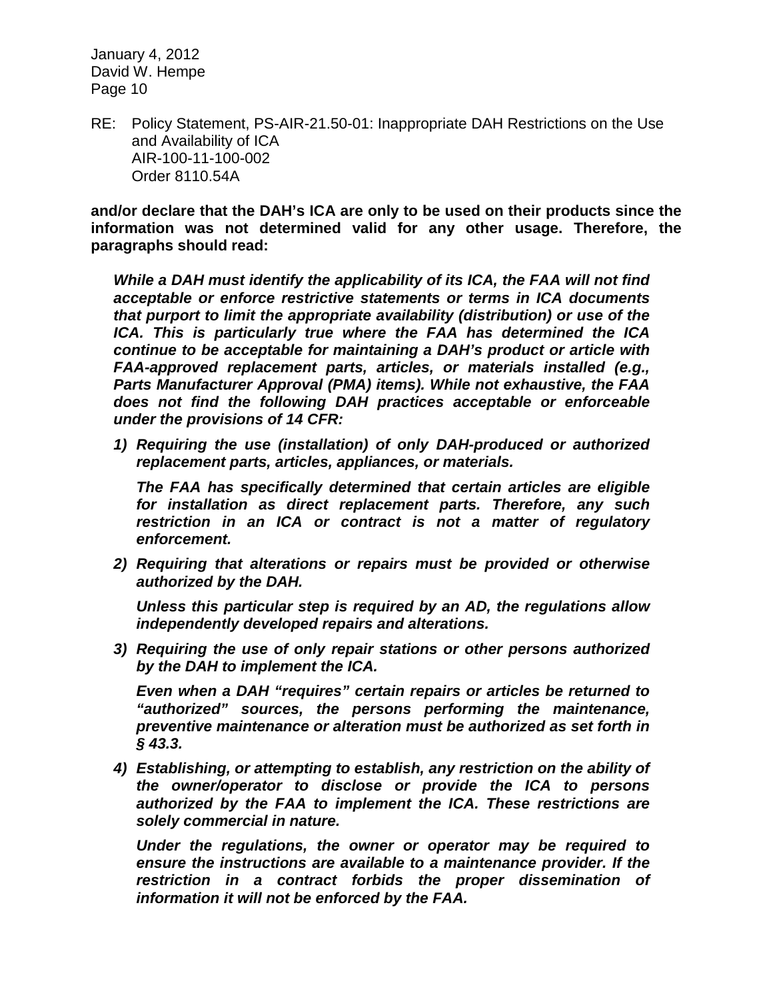RE: Policy Statement, PS-AIR-21.50-01: Inappropriate DAH Restrictions on the Use and Availability of ICA AIR-100-11-100-002 Order 8110.54A

**and/or declare that the DAH's ICA are only to be used on their products since the information was not determined valid for any other usage. Therefore, the paragraphs should read:**

*While a DAH must identify the applicability of its ICA, the FAA will not find acceptable or enforce restrictive statements or terms in ICA documents that purport to limit the appropriate availability (distribution) or use of the ICA. This is particularly true where the FAA has determined the ICA continue to be acceptable for maintaining a DAH's product or article with FAA-approved replacement parts, articles, or materials installed (e.g., Parts Manufacturer Approval (PMA) items). While not exhaustive, the FAA does not find the following DAH practices acceptable or enforceable under the provisions of 14 CFR:*

*1) Requiring the use (installation) of only DAH-produced or authorized replacement parts, articles, appliances, or materials.*

*The FAA has specifically determined that certain articles are eligible for installation as direct replacement parts. Therefore, any such restriction in an ICA or contract is not a matter of regulatory enforcement.*

*2) Requiring that alterations or repairs must be provided or otherwise authorized by the DAH.*

*Unless this particular step is required by an AD, the regulations allow independently developed repairs and alterations.*

*3) Requiring the use of only repair stations or other persons authorized by the DAH to implement the ICA.*

*Even when a DAH "requires" certain repairs or articles be returned to "authorized" sources, the persons performing the maintenance, preventive maintenance or alteration must be authorized as set forth in § 43.3.*

*4) Establishing, or attempting to establish, any restriction on the ability of the owner/operator to disclose or provide the ICA to persons authorized by the FAA to implement the ICA. These restrictions are solely commercial in nature.*

*Under the regulations, the owner or operator may be required to ensure the instructions are available to a maintenance provider. If the restriction in a contract forbids the proper dissemination of information it will not be enforced by the FAA.*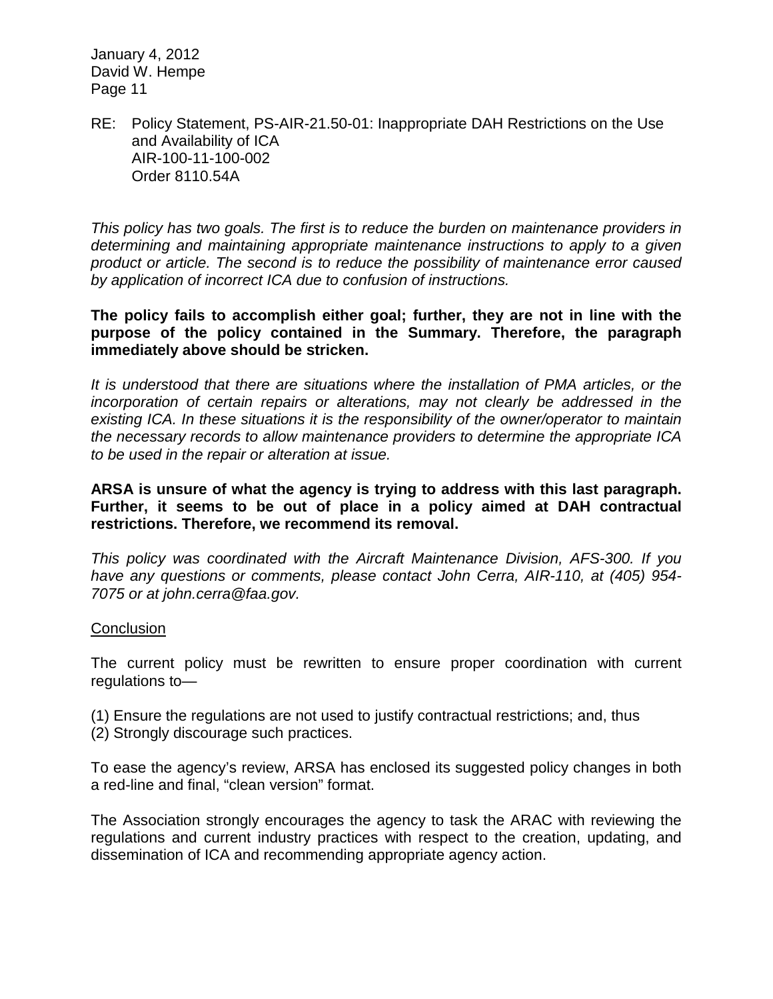RE: Policy Statement, PS-AIR-21.50-01: Inappropriate DAH Restrictions on the Use and Availability of ICA AIR-100-11-100-002 Order 8110.54A

*This policy has two goals. The first is to reduce the burden on maintenance providers in determining and maintaining appropriate maintenance instructions to apply to a given product or article. The second is to reduce the possibility of maintenance error caused by application of incorrect ICA due to confusion of instructions.*

**The policy fails to accomplish either goal; further, they are not in line with the purpose of the policy contained in the Summary. Therefore, the paragraph immediately above should be stricken.**

*It is understood that there are situations where the installation of PMA articles, or the incorporation of certain repairs or alterations, may not clearly be addressed in the existing ICA. In these situations it is the responsibility of the owner/operator to maintain the necessary records to allow maintenance providers to determine the appropriate ICA to be used in the repair or alteration at issue.*

**ARSA is unsure of what the agency is trying to address with this last paragraph. Further, it seems to be out of place in a policy aimed at DAH contractual restrictions. Therefore, we recommend its removal.**

*This policy was coordinated with the Aircraft Maintenance Division, AFS-300. If you have any questions or comments, please contact John Cerra, AIR-110, at (405) 954- 7075 or at john.cerra@faa.gov.*

#### **Conclusion**

The current policy must be rewritten to ensure proper coordination with current regulations to—

- (1) Ensure the regulations are not used to justify contractual restrictions; and, thus
- (2) Strongly discourage such practices.

To ease the agency's review, ARSA has enclosed its suggested policy changes in both a red-line and final, "clean version" format.

The Association strongly encourages the agency to task the ARAC with reviewing the regulations and current industry practices with respect to the creation, updating, and dissemination of ICA and recommending appropriate agency action.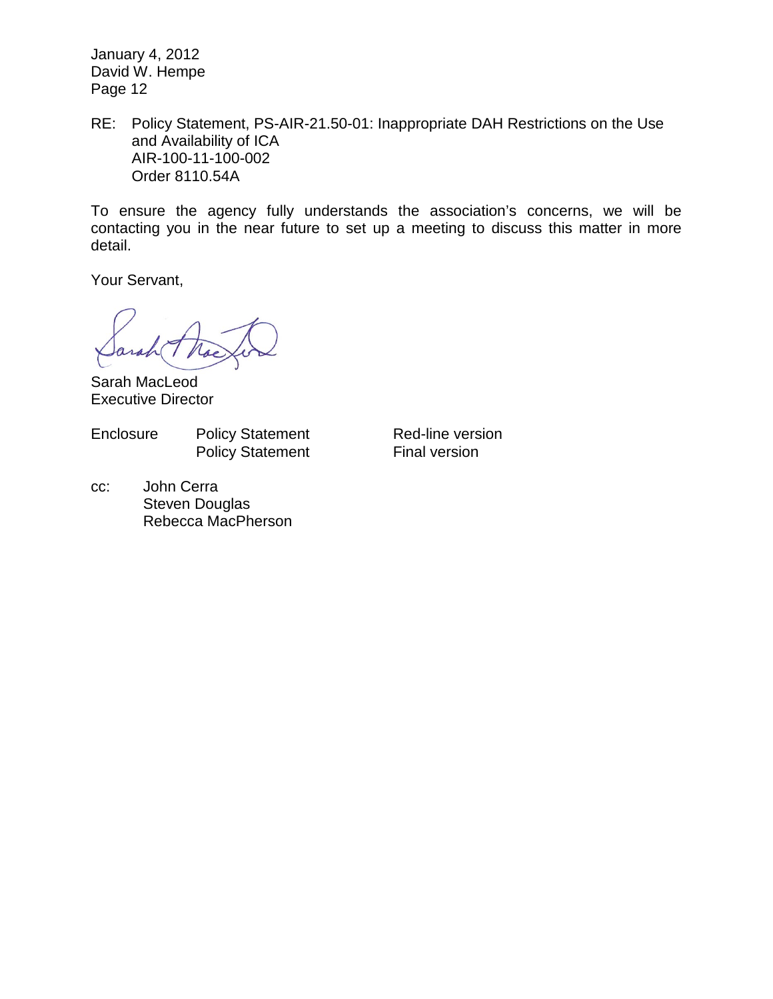RE: Policy Statement, PS-AIR-21.50-01: Inappropriate DAH Restrictions on the Use and Availability of ICA AIR-100-11-100-002 Order 8110.54A

To ensure the agency fully understands the association's concerns, we will be contacting you in the near future to set up a meeting to discuss this matter in more detail.

Your Servant,

Sarah MacLeod Executive Director

Enclosure Policy Statement Red-line version

Policy Statement Final version

cc: John Cerra Steven Douglas Rebecca MacPherson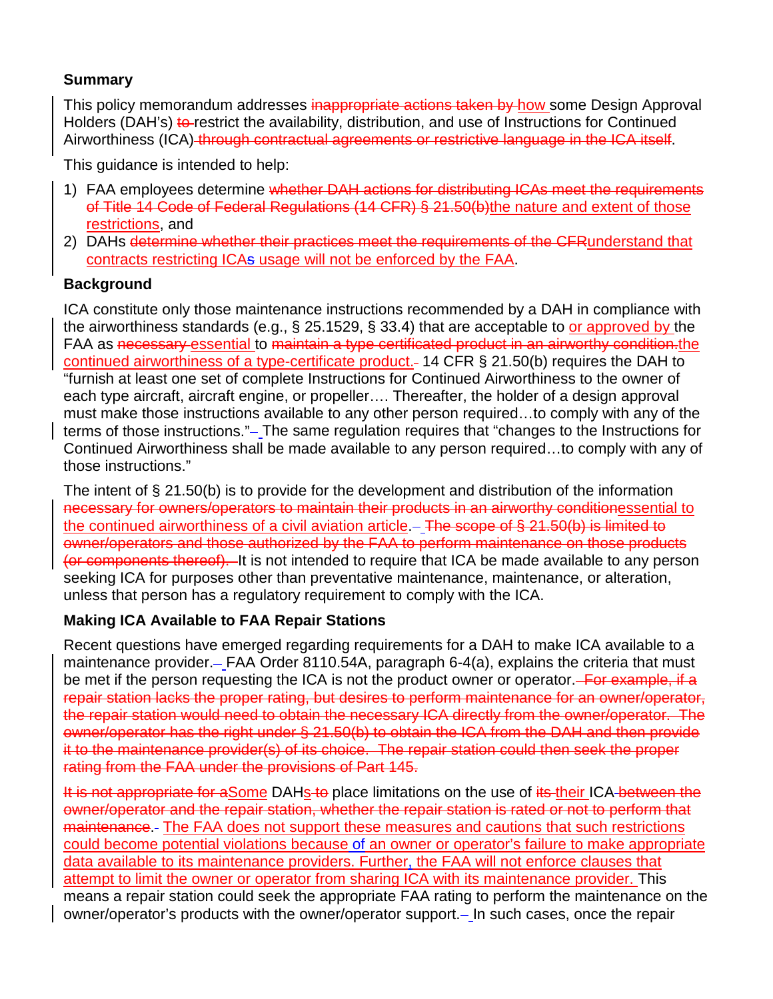# **Summary**

This policy memorandum addresses inappropriate actions taken by how some Design Approval Holders (DAH's) to restrict the availability, distribution, and use of Instructions for Continued Airworthiness (ICA) through contractual agreements or restrictive language in the ICA itself.

This guidance is intended to help:

- 1) FAA employees determine whether DAH actions for distributing ICAs meet the requirements of Title 14 Code of Federal Regulations (14 CFR) § 21.50(b)the nature and extent of those restrictions, and
- 2) DAHs determine whether their practices meet the requirements of the CFRunderstand that contracts restricting ICAs usage will not be enforced by the FAA.

# **Background**

ICA constitute only those maintenance instructions recommended by a DAH in compliance with the airworthiness standards (e.g., § 25.1529, § 33.4) that are acceptable to or approved by the FAA as necessary essential to maintain a type certificated product in an airworthy condition.the continued airworthiness of a type-certificate product. 14 CFR § 21.50(b) requires the DAH to "furnish at least one set of complete Instructions for Continued Airworthiness to the owner of each type aircraft, aircraft engine, or propeller…. Thereafter, the holder of a design approval must make those instructions available to any other person required…to comply with any of the terms of those instructions." – The same regulation requires that "changes to the Instructions for Continued Airworthiness shall be made available to any person required…to comply with any of those instructions."

The intent of § 21.50(b) is to provide for the development and distribution of the information necessary for owners/operators to maintain their products in an airworthy conditionessential to the continued airworthiness of a civil aviation article.  $-$  The scope of § 21.50(b) is limited to owner/operators and those authorized by the FAA to perform maintenance on those products (or components thereof). It is not intended to require that ICA be made available to any person seeking ICA for purposes other than preventative maintenance, maintenance, or alteration, unless that person has a regulatory requirement to comply with the ICA.

## **Making ICA Available to FAA Repair Stations**

Recent questions have emerged regarding requirements for a DAH to make ICA available to a maintenance provider.- FAA Order 8110.54A, paragraph 6-4(a), explains the criteria that must be met if the person requesting the ICA is not the product owner or operator. For example, if a repair station lacks the proper rating, but desires to perform maintenance for an owner/operator, the repair station would need to obtain the necessary ICA directly from the owner/operator. The owner/operator has the right under § 21.50(b) to obtain the ICA from the DAH and then provide it to the maintenance provider(s) of its choice. The repair station could then seek the proper rating from the FAA under the provisions of Part 145.

It is not appropriate for aSome DAHs to place limitations on the use of its their ICA between the owner/operator and the repair station, whether the repair station is rated or not to perform that maintenance. The FAA does not support these measures and cautions that such restrictions could become potential violations because of an owner or operator's failure to make appropriate data available to its maintenance providers. Further, the FAA will not enforce clauses that attempt to limit the owner or operator from sharing ICA with its maintenance provider. This means a repair station could seek the appropriate FAA rating to perform the maintenance on the owner/operator's products with the owner/operator support. In such cases, once the repair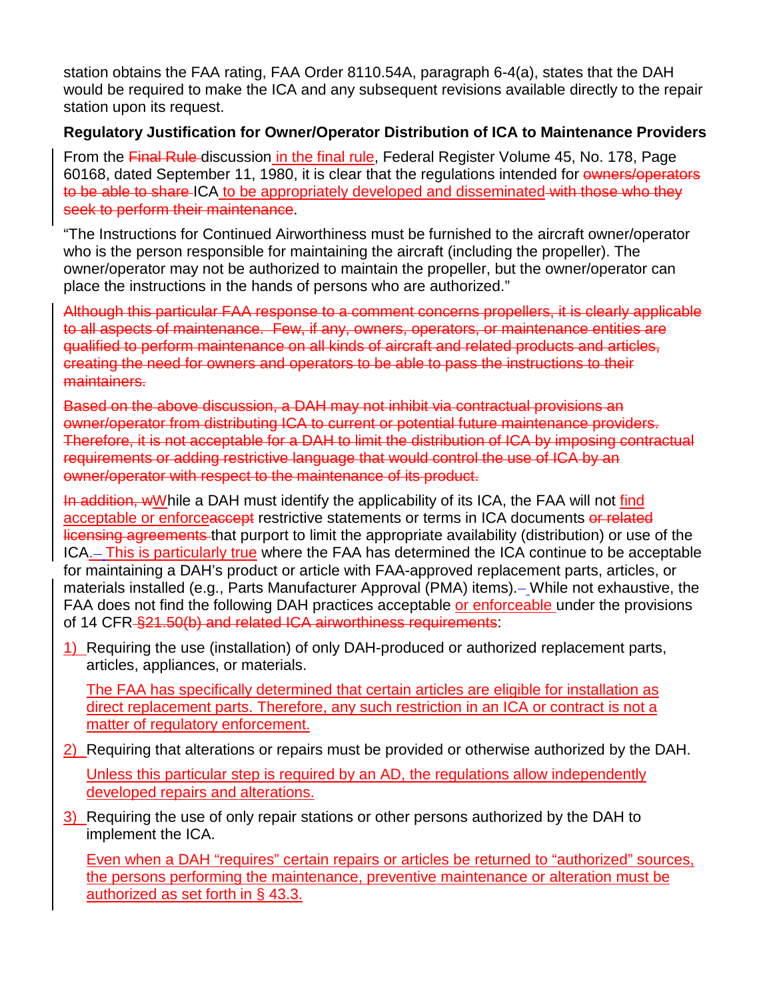station obtains the FAA rating, FAA Order 8110.54A, paragraph 6-4(a), states that the DAH would be required to make the ICA and any subsequent revisions available directly to the repair station upon its request.

## **Regulatory Justification for Owner/Operator Distribution of ICA to Maintenance Providers**

From the Final Rule discussion in the final rule, Federal Register Volume 45, No. 178, Page 60168, dated September 11, 1980, it is clear that the regulations intended for owners/operators to be able to share ICA to be appropriately developed and disseminated with those who they seek to perform their maintenance.

"The Instructions for Continued Airworthiness must be furnished to the aircraft owner/operator who is the person responsible for maintaining the aircraft (including the propeller). The owner/operator may not be authorized to maintain the propeller, but the owner/operator can place the instructions in the hands of persons who are authorized."

Although this particular FAA response to a comment concerns propellers, it is clearly applicable to all aspects of maintenance. Few, if any, owners, operators, or maintenance entities are qualified to perform maintenance on all kinds of aircraft and related products and articles, creating the need for owners and operators to be able to pass the instructions to their maintainers.

Based on the above discussion, a DAH may not inhibit via contractual provisions an owner/operator from distributing ICA to current or potential future maintenance providers. Therefore, it is not acceptable for a DAH to limit the distribution of ICA by imposing contractual requirements or adding restrictive language that would control the use of ICA by an owner/operator with respect to the maintenance of its product.

In addition, wWhile a DAH must identify the applicability of its ICA, the FAA will not find acceptable or enforceaccept restrictive statements or terms in ICA documents or related licensing agreements that purport to limit the appropriate availability (distribution) or use of the ICA. This is particularly true where the FAA has determined the ICA continue to be acceptable for maintaining a DAH's product or article with FAA-approved replacement parts, articles, or materials installed (e.g., Parts Manufacturer Approval (PMA) items). While not exhaustive, the FAA does not find the following DAH practices acceptable or enforceable under the provisions of 14 CFR §21.50(b) and related ICA airworthiness requirements:

1) Requiring the use (installation) of only DAH-produced or authorized replacement parts, articles, appliances, or materials.

The FAA has specifically determined that certain articles are eligible for installation as direct replacement parts. Therefore, any such restriction in an ICA or contract is not a matter of regulatory enforcement.

- 2) Requiring that alterations or repairs must be provided or otherwise authorized by the DAH. Unless this particular step is required by an AD, the regulations allow independently developed repairs and alterations.
- 3) Requiring the use of only repair stations or other persons authorized by the DAH to implement the ICA.

Even when a DAH "requires" certain repairs or articles be returned to "authorized" sources, the persons performing the maintenance, preventive maintenance or alteration must be authorized as set forth in § 43.3.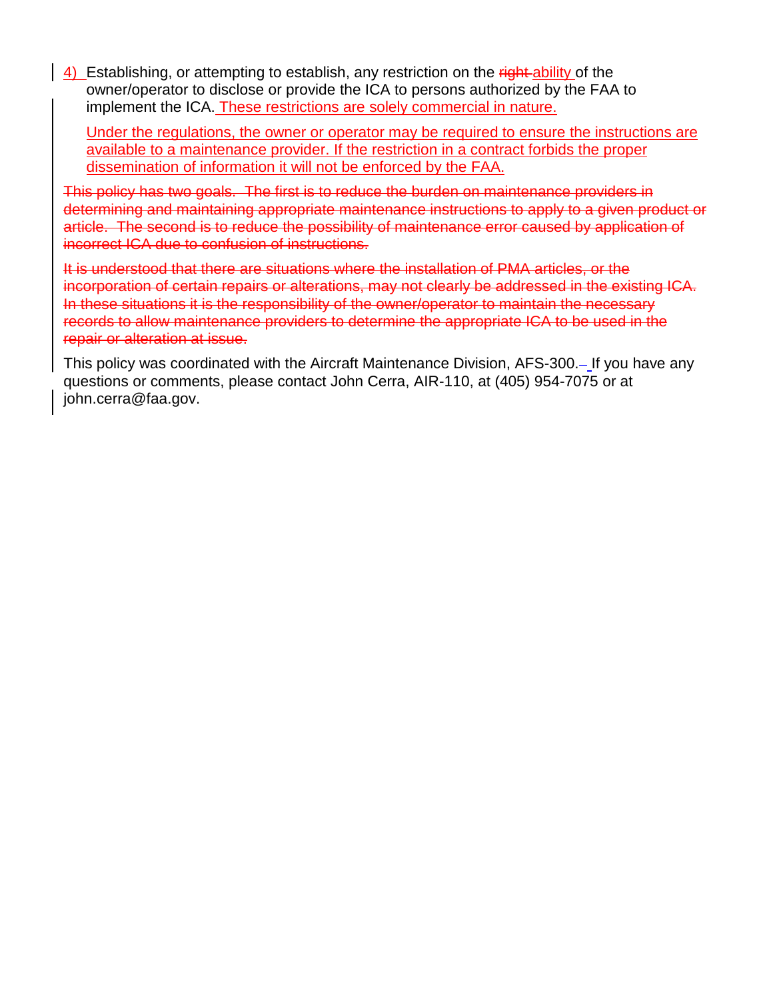4) Establishing, or attempting to establish, any restriction on the right-ability of the owner/operator to disclose or provide the ICA to persons authorized by the FAA to implement the ICA. These restrictions are solely commercial in nature.

Under the regulations, the owner or operator may be required to ensure the instructions are available to a maintenance provider. If the restriction in a contract forbids the proper dissemination of information it will not be enforced by the FAA.

This policy has two goals. The first is to reduce the burden on maintenance providers in determining and maintaining appropriate maintenance instructions to apply to a given product or article. The second is to reduce the possibility of maintenance error caused by application of incorrect ICA due to confusion of instructions.

It is understood that there are situations where the installation of PMA articles, or the incorporation of certain repairs or alterations, may not clearly be addressed in the existing ICA. In these situations it is the responsibility of the owner/operator to maintain the necessary records to allow maintenance providers to determine the appropriate ICA to be used in the repair or alteration at issue.

This policy was coordinated with the Aircraft Maintenance Division, AFS-300. If you have any questions or comments, please contact John Cerra, AIR-110, at (405) 954-7075 or at john.cerra@faa.gov.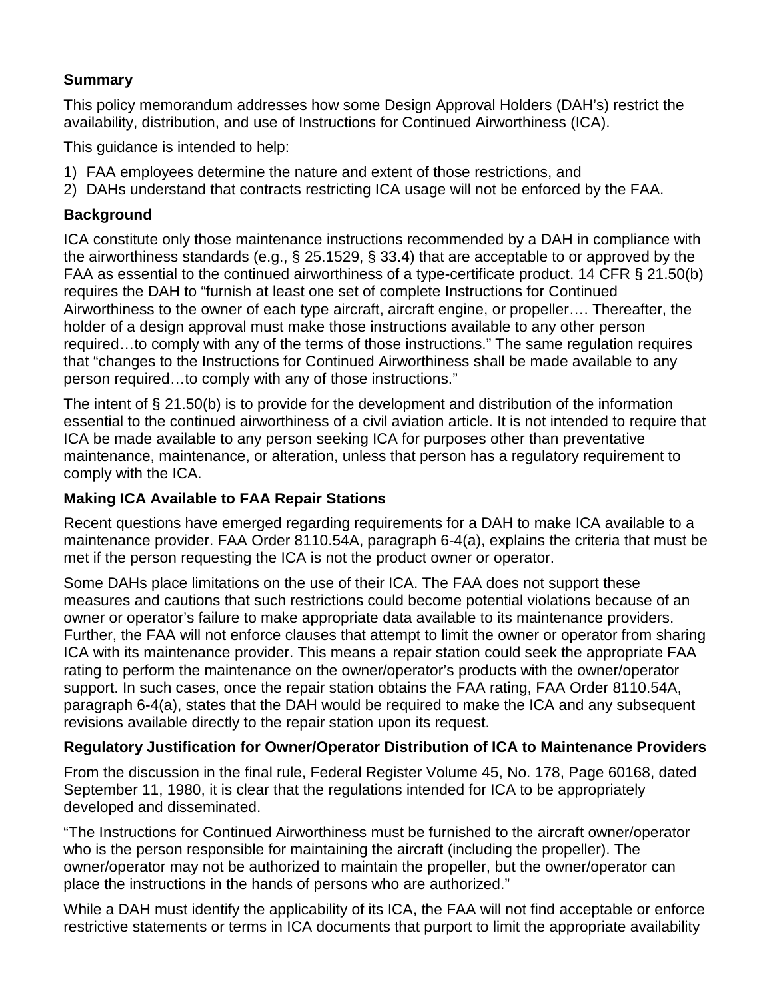# **Summary**

This policy memorandum addresses how some Design Approval Holders (DAH's) restrict the availability, distribution, and use of Instructions for Continued Airworthiness (ICA).

This guidance is intended to help:

- 1) FAA employees determine the nature and extent of those restrictions, and
- 2) DAHs understand that contracts restricting ICA usage will not be enforced by the FAA.

## **Background**

ICA constitute only those maintenance instructions recommended by a DAH in compliance with the airworthiness standards (e.g., § 25.1529, § 33.4) that are acceptable to or approved by the FAA as essential to the continued airworthiness of a type-certificate product. 14 CFR § 21.50(b) requires the DAH to "furnish at least one set of complete Instructions for Continued Airworthiness to the owner of each type aircraft, aircraft engine, or propeller…. Thereafter, the holder of a design approval must make those instructions available to any other person required…to comply with any of the terms of those instructions." The same regulation requires that "changes to the Instructions for Continued Airworthiness shall be made available to any person required…to comply with any of those instructions."

The intent of § 21.50(b) is to provide for the development and distribution of the information essential to the continued airworthiness of a civil aviation article. It is not intended to require that ICA be made available to any person seeking ICA for purposes other than preventative maintenance, maintenance, or alteration, unless that person has a regulatory requirement to comply with the ICA.

# **Making ICA Available to FAA Repair Stations**

Recent questions have emerged regarding requirements for a DAH to make ICA available to a maintenance provider. FAA Order 8110.54A, paragraph 6-4(a), explains the criteria that must be met if the person requesting the ICA is not the product owner or operator.

Some DAHs place limitations on the use of their ICA. The FAA does not support these measures and cautions that such restrictions could become potential violations because of an owner or operator's failure to make appropriate data available to its maintenance providers. Further, the FAA will not enforce clauses that attempt to limit the owner or operator from sharing ICA with its maintenance provider. This means a repair station could seek the appropriate FAA rating to perform the maintenance on the owner/operator's products with the owner/operator support. In such cases, once the repair station obtains the FAA rating, FAA Order 8110.54A, paragraph 6-4(a), states that the DAH would be required to make the ICA and any subsequent revisions available directly to the repair station upon its request.

# **Regulatory Justification for Owner/Operator Distribution of ICA to Maintenance Providers**

From the discussion in the final rule, Federal Register Volume 45, No. 178, Page 60168, dated September 11, 1980, it is clear that the regulations intended for ICA to be appropriately developed and disseminated.

"The Instructions for Continued Airworthiness must be furnished to the aircraft owner/operator who is the person responsible for maintaining the aircraft (including the propeller). The owner/operator may not be authorized to maintain the propeller, but the owner/operator can place the instructions in the hands of persons who are authorized."

While a DAH must identify the applicability of its ICA, the FAA will not find acceptable or enforce restrictive statements or terms in ICA documents that purport to limit the appropriate availability